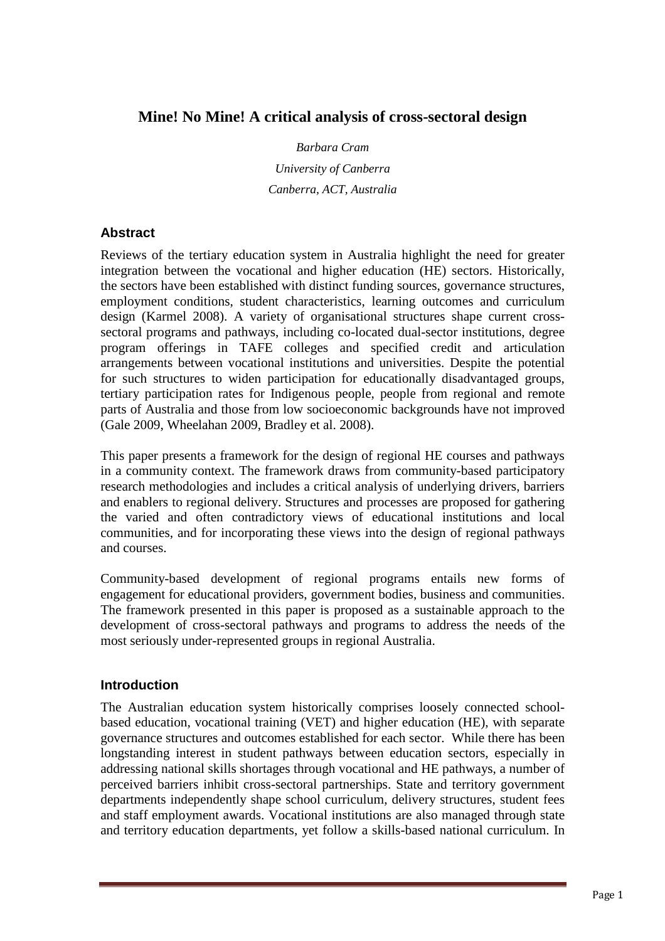# **Mine! No Mine! A critical analysis of cross-sectoral design**

*Barbara Cram University of Canberra Canberra, ACT, Australia* 

## **Abstract**

Reviews of the tertiary education system in Australia highlight the need for greater integration between the vocational and higher education (HE) sectors. Historically, the sectors have been established with distinct funding sources, governance structures, employment conditions, student characteristics, learning outcomes and curriculum design (Karmel 2008). A variety of organisational structures shape current crosssectoral programs and pathways, including co-located dual-sector institutions, degree program offerings in TAFE colleges and specified credit and articulation arrangements between vocational institutions and universities. Despite the potential for such structures to widen participation for educationally disadvantaged groups, tertiary participation rates for Indigenous people, people from regional and remote parts of Australia and those from low socioeconomic backgrounds have not improved (Gale 2009, Wheelahan 2009, Bradley et al. 2008).

This paper presents a framework for the design of regional HE courses and pathways in a community context. The framework draws from community-based participatory research methodologies and includes a critical analysis of underlying drivers, barriers and enablers to regional delivery. Structures and processes are proposed for gathering the varied and often contradictory views of educational institutions and local communities, and for incorporating these views into the design of regional pathways and courses.

Community-based development of regional programs entails new forms of engagement for educational providers, government bodies, business and communities. The framework presented in this paper is proposed as a sustainable approach to the development of cross-sectoral pathways and programs to address the needs of the most seriously under-represented groups in regional Australia.

## **Introduction**

The Australian education system historically comprises loosely connected schoolbased education, vocational training (VET) and higher education (HE), with separate governance structures and outcomes established for each sector. While there has been longstanding interest in student pathways between education sectors, especially in addressing national skills shortages through vocational and HE pathways, a number of perceived barriers inhibit cross-sectoral partnerships. State and territory government departments independently shape school curriculum, delivery structures, student fees and staff employment awards. Vocational institutions are also managed through state and territory education departments, yet follow a skills-based national curriculum. In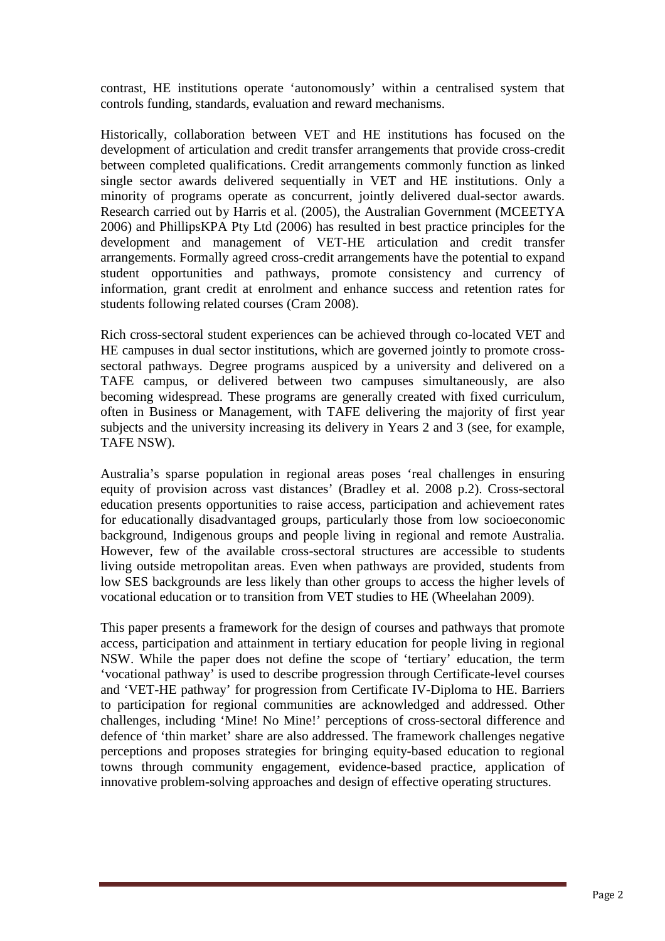contrast, HE institutions operate 'autonomously' within a centralised system that controls funding, standards, evaluation and reward mechanisms.

Historically, collaboration between VET and HE institutions has focused on the development of articulation and credit transfer arrangements that provide cross-credit between completed qualifications. Credit arrangements commonly function as linked single sector awards delivered sequentially in VET and HE institutions. Only a minority of programs operate as concurrent, jointly delivered dual-sector awards. Research carried out by Harris et al. (2005), the Australian Government (MCEETYA 2006) and PhillipsKPA Pty Ltd (2006) has resulted in best practice principles for the development and management of VET-HE articulation and credit transfer arrangements. Formally agreed cross-credit arrangements have the potential to expand student opportunities and pathways, promote consistency and currency of information, grant credit at enrolment and enhance success and retention rates for students following related courses (Cram 2008).

Rich cross-sectoral student experiences can be achieved through co-located VET and HE campuses in dual sector institutions, which are governed jointly to promote crosssectoral pathways. Degree programs auspiced by a university and delivered on a TAFE campus, or delivered between two campuses simultaneously, are also becoming widespread. These programs are generally created with fixed curriculum, often in Business or Management, with TAFE delivering the majority of first year subjects and the university increasing its delivery in Years 2 and 3 (see, for example, TAFE NSW).

Australia's sparse population in regional areas poses 'real challenges in ensuring equity of provision across vast distances' (Bradley et al. 2008 p.2). Cross-sectoral education presents opportunities to raise access, participation and achievement rates for educationally disadvantaged groups, particularly those from low socioeconomic background, Indigenous groups and people living in regional and remote Australia. However, few of the available cross-sectoral structures are accessible to students living outside metropolitan areas. Even when pathways are provided, students from low SES backgrounds are less likely than other groups to access the higher levels of vocational education or to transition from VET studies to HE (Wheelahan 2009).

This paper presents a framework for the design of courses and pathways that promote access, participation and attainment in tertiary education for people living in regional NSW. While the paper does not define the scope of 'tertiary' education, the term 'vocational pathway' is used to describe progression through Certificate-level courses and 'VET-HE pathway' for progression from Certificate IV-Diploma to HE. Barriers to participation for regional communities are acknowledged and addressed. Other challenges, including 'Mine! No Mine!' perceptions of cross-sectoral difference and defence of 'thin market' share are also addressed. The framework challenges negative perceptions and proposes strategies for bringing equity-based education to regional towns through community engagement, evidence-based practice, application of innovative problem-solving approaches and design of effective operating structures.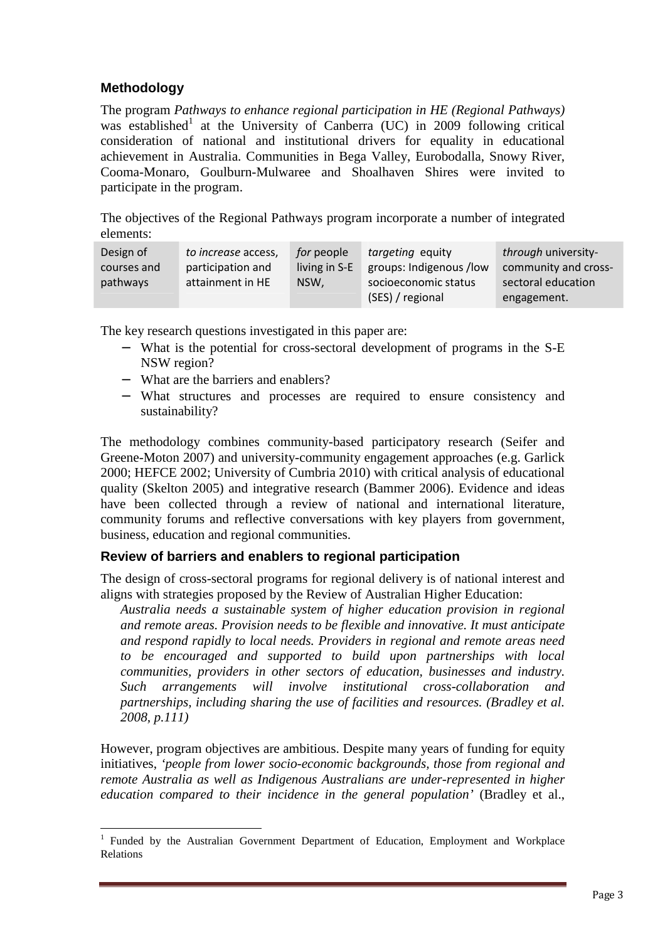## **Methodology**

The program *Pathways to enhance regional participation in HE (Regional Pathways)* was established<sup>1</sup> at the University of Canberra (UC) in 2009 following critical consideration of national and institutional drivers for equality in educational achievement in Australia. Communities in Bega Valley, Eurobodalla, Snowy River, Cooma-Monaro, Goulburn-Mulwaree and Shoalhaven Shires were invited to participate in the program.

The objectives of the Regional Pathways program incorporate a number of integrated elements:

| Design of   | to increase access, | <i>for</i> people | targeting equity                         | through university-               |
|-------------|---------------------|-------------------|------------------------------------------|-----------------------------------|
| courses and | participation and   | living in S-E     | groups: Indigenous /low                  | community and cross-              |
| pathways    | attainment in HE    | NSW.              | socioeconomic status<br>(SES) / regional | sectoral education<br>engagement. |

The key research questions investigated in this paper are:

- − What is the potential for cross-sectoral development of programs in the S-E NSW region?
- − What are the barriers and enablers?
- − What structures and processes are required to ensure consistency and sustainability?

The methodology combines community-based participatory research (Seifer and Greene-Moton 2007) and university-community engagement approaches (e.g. Garlick 2000; HEFCE 2002; University of Cumbria 2010) with critical analysis of educational quality (Skelton 2005) and integrative research (Bammer 2006). Evidence and ideas have been collected through a review of national and international literature, community forums and reflective conversations with key players from government, business, education and regional communities.

#### **Review of barriers and enablers to regional participation**

The design of cross-sectoral programs for regional delivery is of national interest and aligns with strategies proposed by the Review of Australian Higher Education:

*Australia needs a sustainable system of higher education provision in regional and remote areas. Provision needs to be flexible and innovative. It must anticipate and respond rapidly to local needs. Providers in regional and remote areas need to be encouraged and supported to build upon partnerships with local communities, providers in other sectors of education, businesses and industry. Such arrangements will involve institutional cross-collaboration and partnerships, including sharing the use of facilities and resources. (Bradley et al. 2008, p.111)* 

However, program objectives are ambitious. Despite many years of funding for equity initiatives, *'people from lower socio-economic backgrounds, those from regional and remote Australia as well as Indigenous Australians are under-represented in higher education compared to their incidence in the general population'* (Bradley et al.,

 $\overline{a}$ <sup>1</sup> Funded by the Australian Government Department of Education, Employment and Workplace Relations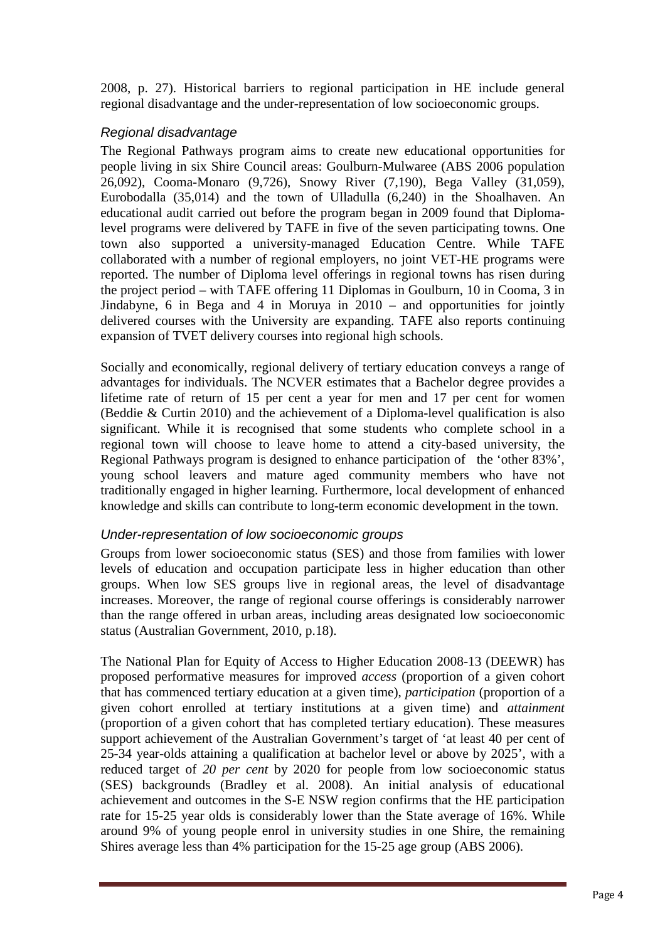2008, p. 27). Historical barriers to regional participation in HE include general regional disadvantage and the under-representation of low socioeconomic groups.

## Regional disadvantage

The Regional Pathways program aims to create new educational opportunities for people living in six Shire Council areas: Goulburn-Mulwaree (ABS 2006 population 26,092), Cooma-Monaro (9,726), Snowy River (7,190), Bega Valley (31,059), Eurobodalla (35,014) and the town of Ulladulla (6,240) in the Shoalhaven. An educational audit carried out before the program began in 2009 found that Diplomalevel programs were delivered by TAFE in five of the seven participating towns. One town also supported a university-managed Education Centre. While TAFE collaborated with a number of regional employers, no joint VET-HE programs were reported. The number of Diploma level offerings in regional towns has risen during the project period – with TAFE offering 11 Diplomas in Goulburn, 10 in Cooma, 3 in Jindabyne, 6 in Bega and 4 in Moruya in 2010 – and opportunities for jointly delivered courses with the University are expanding. TAFE also reports continuing expansion of TVET delivery courses into regional high schools.

Socially and economically, regional delivery of tertiary education conveys a range of advantages for individuals. The NCVER estimates that a Bachelor degree provides a lifetime rate of return of 15 per cent a year for men and 17 per cent for women (Beddie & Curtin 2010) and the achievement of a Diploma-level qualification is also significant. While it is recognised that some students who complete school in a regional town will choose to leave home to attend a city-based university, the Regional Pathways program is designed to enhance participation of the 'other 83%', young school leavers and mature aged community members who have not traditionally engaged in higher learning. Furthermore, local development of enhanced knowledge and skills can contribute to long-term economic development in the town.

#### Under-representation of low socioeconomic groups

Groups from lower socioeconomic status (SES) and those from families with lower levels of education and occupation participate less in higher education than other groups. When low SES groups live in regional areas, the level of disadvantage increases. Moreover, the range of regional course offerings is considerably narrower than the range offered in urban areas, including areas designated low socioeconomic status (Australian Government, 2010, p.18).

The National Plan for Equity of Access to Higher Education 2008-13 (DEEWR) has proposed performative measures for improved *access* (proportion of a given cohort that has commenced tertiary education at a given time), *participation* (proportion of a given cohort enrolled at tertiary institutions at a given time) and *attainment* (proportion of a given cohort that has completed tertiary education). These measures support achievement of the Australian Government's target of 'at least 40 per cent of 25-34 year-olds attaining a qualification at bachelor level or above by 2025', with a reduced target of *20 per cent* by 2020 for people from low socioeconomic status (SES) backgrounds (Bradley et al. 2008). An initial analysis of educational achievement and outcomes in the S-E NSW region confirms that the HE participation rate for 15-25 year olds is considerably lower than the State average of 16%. While around 9% of young people enrol in university studies in one Shire, the remaining Shires average less than 4% participation for the 15-25 age group (ABS 2006).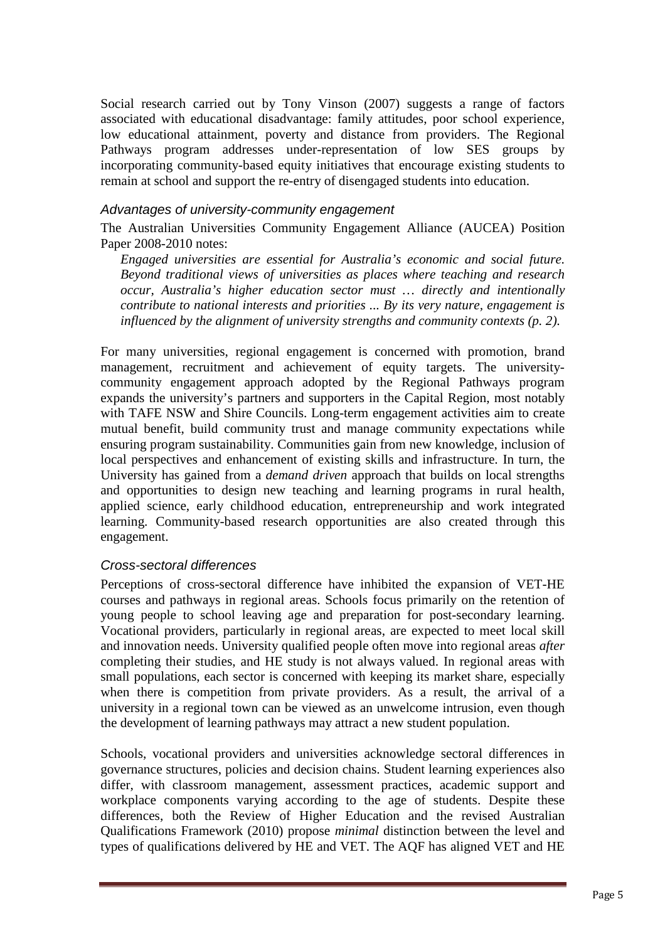Social research carried out by Tony Vinson (2007) suggests a range of factors associated with educational disadvantage: family attitudes, poor school experience, low educational attainment, poverty and distance from providers. The Regional Pathways program addresses under-representation of low SES groups by incorporating community-based equity initiatives that encourage existing students to remain at school and support the re-entry of disengaged students into education.

#### Advantages of university-community engagement

The Australian Universities Community Engagement Alliance (AUCEA) Position Paper 2008-2010 notes:

*Engaged universities are essential for Australia's economic and social future. Beyond traditional views of universities as places where teaching and research occur, Australia's higher education sector must … directly and intentionally contribute to national interests and priorities ... By its very nature, engagement is influenced by the alignment of university strengths and community contexts (p. 2).* 

For many universities, regional engagement is concerned with promotion, brand management, recruitment and achievement of equity targets. The universitycommunity engagement approach adopted by the Regional Pathways program expands the university's partners and supporters in the Capital Region, most notably with TAFE NSW and Shire Councils. Long-term engagement activities aim to create mutual benefit, build community trust and manage community expectations while ensuring program sustainability. Communities gain from new knowledge, inclusion of local perspectives and enhancement of existing skills and infrastructure. In turn, the University has gained from a *demand driven* approach that builds on local strengths and opportunities to design new teaching and learning programs in rural health, applied science, early childhood education, entrepreneurship and work integrated learning. Community-based research opportunities are also created through this engagement.

#### Cross-sectoral differences

Perceptions of cross-sectoral difference have inhibited the expansion of VET-HE courses and pathways in regional areas. Schools focus primarily on the retention of young people to school leaving age and preparation for post-secondary learning. Vocational providers, particularly in regional areas, are expected to meet local skill and innovation needs. University qualified people often move into regional areas *after* completing their studies, and HE study is not always valued. In regional areas with small populations, each sector is concerned with keeping its market share, especially when there is competition from private providers. As a result, the arrival of a university in a regional town can be viewed as an unwelcome intrusion, even though the development of learning pathways may attract a new student population.

Schools, vocational providers and universities acknowledge sectoral differences in governance structures, policies and decision chains. Student learning experiences also differ, with classroom management, assessment practices, academic support and workplace components varying according to the age of students. Despite these differences, both the Review of Higher Education and the revised Australian Qualifications Framework (2010) propose *minimal* distinction between the level and types of qualifications delivered by HE and VET. The AQF has aligned VET and HE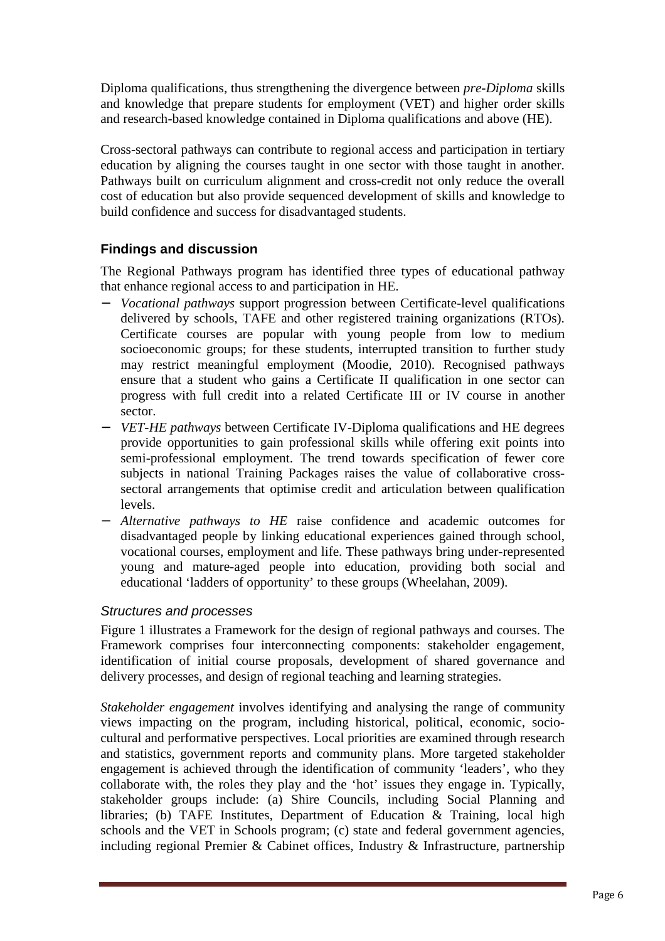Diploma qualifications, thus strengthening the divergence between *pre-Diploma* skills and knowledge that prepare students for employment (VET) and higher order skills and research-based knowledge contained in Diploma qualifications and above (HE).

Cross-sectoral pathways can contribute to regional access and participation in tertiary education by aligning the courses taught in one sector with those taught in another. Pathways built on curriculum alignment and cross-credit not only reduce the overall cost of education but also provide sequenced development of skills and knowledge to build confidence and success for disadvantaged students.

## **Findings and discussion**

The Regional Pathways program has identified three types of educational pathway that enhance regional access to and participation in HE.

- − *Vocational pathways* support progression between Certificate-level qualifications delivered by schools, TAFE and other registered training organizations (RTOs). Certificate courses are popular with young people from low to medium socioeconomic groups; for these students, interrupted transition to further study may restrict meaningful employment (Moodie, 2010). Recognised pathways ensure that a student who gains a Certificate II qualification in one sector can progress with full credit into a related Certificate III or IV course in another sector.
- *VET-HE pathways* between Certificate IV-Diploma qualifications and HE degrees provide opportunities to gain professional skills while offering exit points into semi-professional employment. The trend towards specification of fewer core subjects in national Training Packages raises the value of collaborative crosssectoral arrangements that optimise credit and articulation between qualification levels.
- − *Alternative pathways to HE* raise confidence and academic outcomes for disadvantaged people by linking educational experiences gained through school, vocational courses, employment and life. These pathways bring under-represented young and mature-aged people into education, providing both social and educational 'ladders of opportunity' to these groups (Wheelahan, 2009).

## Structures and processes

Figure 1 illustrates a Framework for the design of regional pathways and courses. The Framework comprises four interconnecting components: stakeholder engagement, identification of initial course proposals, development of shared governance and delivery processes, and design of regional teaching and learning strategies.

*Stakeholder engagement* involves identifying and analysing the range of community views impacting on the program, including historical, political, economic, sociocultural and performative perspectives. Local priorities are examined through research and statistics, government reports and community plans. More targeted stakeholder engagement is achieved through the identification of community 'leaders', who they collaborate with, the roles they play and the 'hot' issues they engage in. Typically, stakeholder groups include: (a) Shire Councils, including Social Planning and libraries; (b) TAFE Institutes, Department of Education & Training, local high schools and the VET in Schools program; (c) state and federal government agencies, including regional Premier & Cabinet offices, Industry & Infrastructure, partnership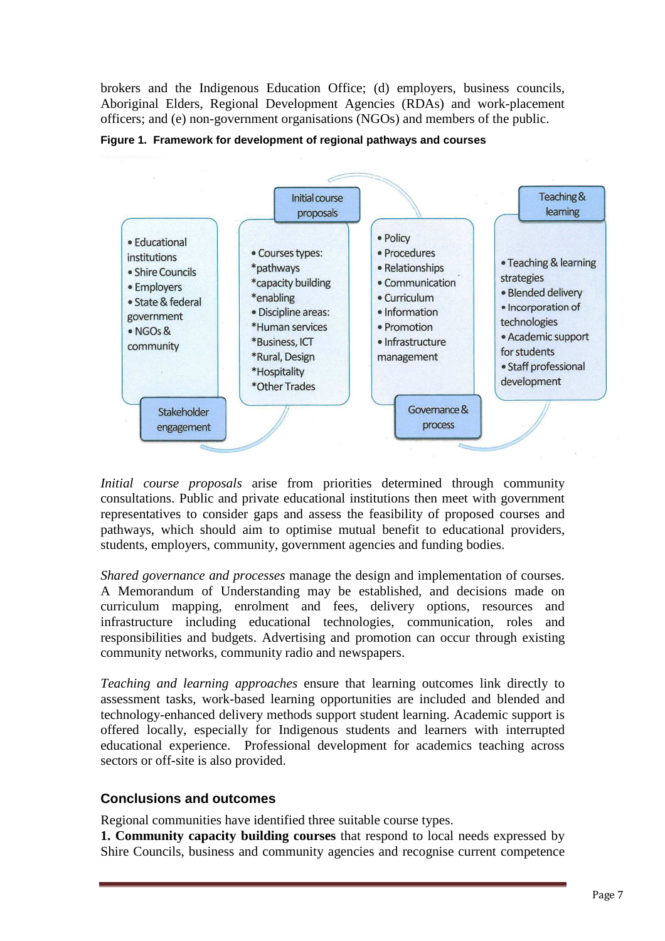brokers and the Indigenous Education Office; (d) employers, business councils, Aboriginal Elders, Regional Development Agencies (RDAs) and work-placement officers; and (e) non-government organisations (NGOs) and members of the public.





*Initial course proposals* arise from priorities determined through community consultations. Public and private educational institutions then meet with government representatives to consider gaps and assess the feasibility of proposed courses and pathways, which should aim to optimise mutual benefit to educational providers, students, employers, community, government agencies and funding bodies.

*Shared governance and processes* manage the design and implementation of courses. A Memorandum of Understanding may be established, and decisions made on curriculum mapping, enrolment and fees, delivery options, resources and infrastructure including educational technologies, communication, roles and responsibilities and budgets. Advertising and promotion can occur through existing community networks, community radio and newspapers.

*Teaching and learning approaches* ensure that learning outcomes link directly to assessment tasks, work-based learning opportunities are included and blended and technology-enhanced delivery methods support student learning. Academic support is offered locally, especially for Indigenous students and learners with interrupted educational experience. Professional development for academics teaching across sectors or off-site is also provided.

#### **Conclusions and outcomes**

Regional communities have identified three suitable course types.

**1. Community capacity building courses** that respond to local needs expressed by Shire Councils, business and community agencies and recognise current competence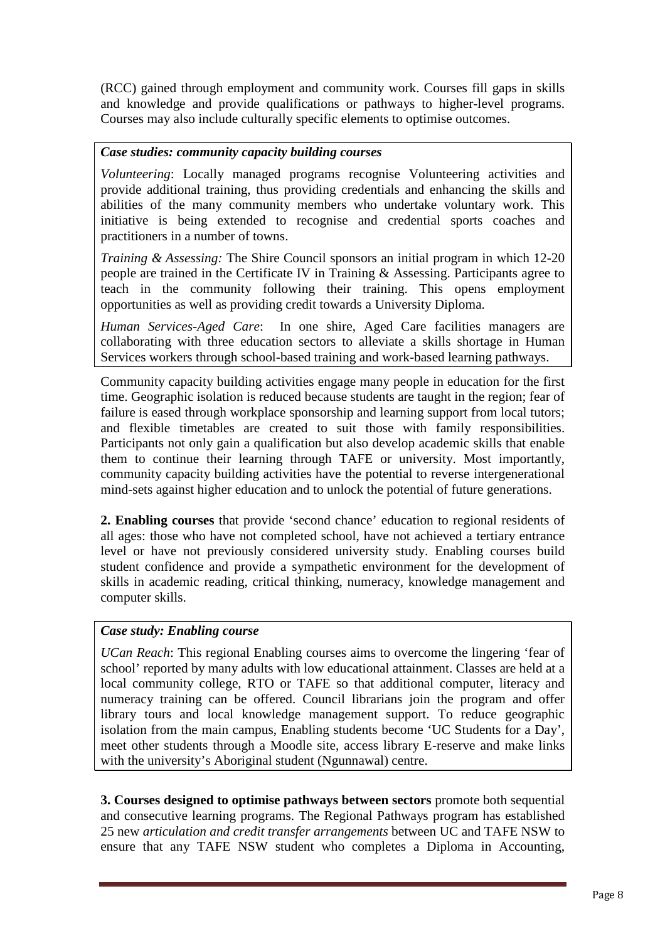(RCC) gained through employment and community work. Courses fill gaps in skills and knowledge and provide qualifications or pathways to higher-level programs. Courses may also include culturally specific elements to optimise outcomes.

## *Case studies: community capacity building courses*

*Volunteering*: Locally managed programs recognise Volunteering activities and provide additional training, thus providing credentials and enhancing the skills and abilities of the many community members who undertake voluntary work. This initiative is being extended to recognise and credential sports coaches and practitioners in a number of towns.

*Training & Assessing:* The Shire Council sponsors an initial program in which 12-20 people are trained in the Certificate IV in Training & Assessing. Participants agree to teach in the community following their training. This opens employment opportunities as well as providing credit towards a University Diploma.

*Human Services-Aged Care*: In one shire, Aged Care facilities managers are collaborating with three education sectors to alleviate a skills shortage in Human Services workers through school-based training and work-based learning pathways.

Community capacity building activities engage many people in education for the first time. Geographic isolation is reduced because students are taught in the region; fear of failure is eased through workplace sponsorship and learning support from local tutors; and flexible timetables are created to suit those with family responsibilities. Participants not only gain a qualification but also develop academic skills that enable them to continue their learning through TAFE or university. Most importantly, community capacity building activities have the potential to reverse intergenerational mind-sets against higher education and to unlock the potential of future generations.

**2. Enabling courses** that provide 'second chance' education to regional residents of all ages: those who have not completed school, have not achieved a tertiary entrance level or have not previously considered university study. Enabling courses build student confidence and provide a sympathetic environment for the development of skills in academic reading, critical thinking, numeracy, knowledge management and computer skills.

#### *Case study: Enabling course*

*UCan Reach*: This regional Enabling courses aims to overcome the lingering 'fear of school' reported by many adults with low educational attainment. Classes are held at a local community college, RTO or TAFE so that additional computer, literacy and numeracy training can be offered. Council librarians join the program and offer library tours and local knowledge management support. To reduce geographic isolation from the main campus, Enabling students become 'UC Students for a Day', meet other students through a Moodle site, access library E-reserve and make links with the university's Aboriginal student (Ngunnawal) centre.

**3. Courses designed to optimise pathways between sectors** promote both sequential and consecutive learning programs. The Regional Pathways program has established 25 new *articulation and credit transfer arrangements* between UC and TAFE NSW to ensure that any TAFE NSW student who completes a Diploma in Accounting,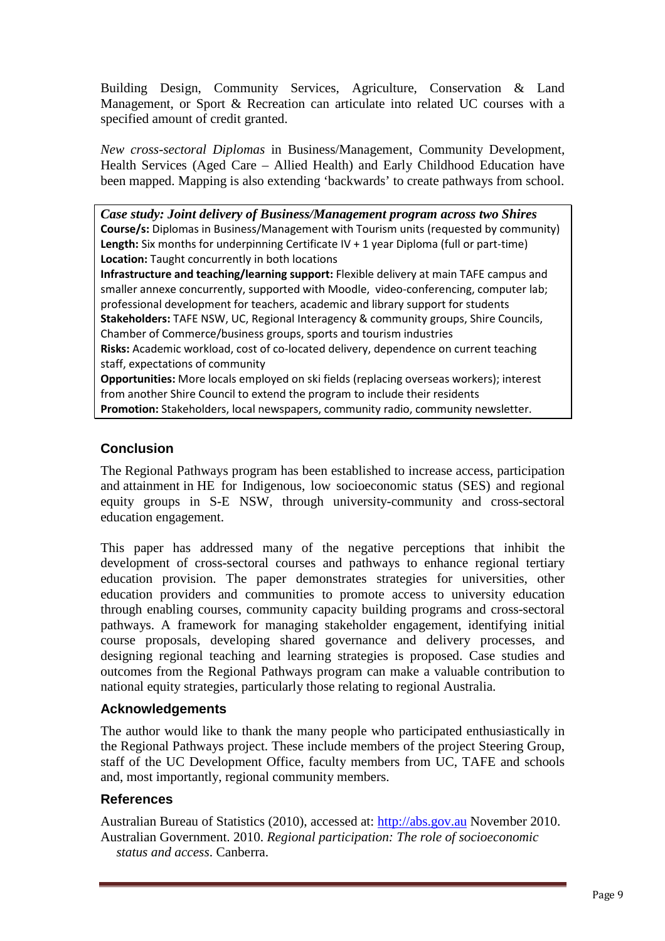Building Design, Community Services, Agriculture, Conservation & Land Management, or Sport & Recreation can articulate into related UC courses with a specified amount of credit granted.

*New cross-sectoral Diplomas* in Business/Management, Community Development, Health Services (Aged Care – Allied Health) and Early Childhood Education have been mapped. Mapping is also extending 'backwards' to create pathways from school.

*Case study: Joint delivery of Business/Management program across two Shires* Course/s: Diplomas in Business/Management with Tourism units (requested by community) Length: Six months for underpinning Certificate IV + 1 year Diploma (full or part-time) Location: Taught concurrently in both locations

Infrastructure and teaching/learning support: Flexible delivery at main TAFE campus and smaller annexe concurrently, supported with Moodle, video-conferencing, computer lab; professional development for teachers, academic and library support for students Stakeholders: TAFE NSW, UC, Regional Interagency & community groups, Shire Councils, Chamber of Commerce/business groups, sports and tourism industries Risks: Academic workload, cost of co-located delivery, dependence on current teaching

staff, expectations of community

Opportunities: More locals employed on ski fields (replacing overseas workers); interest from another Shire Council to extend the program to include their residents Promotion: Stakeholders, local newspapers, community radio, community newsletter.

## **Conclusion**

The Regional Pathways program has been established to increase access, participation and attainment in HE for Indigenous, low socioeconomic status (SES) and regional equity groups in S-E NSW, through university-community and cross-sectoral education engagement.

This paper has addressed many of the negative perceptions that inhibit the development of cross-sectoral courses and pathways to enhance regional tertiary education provision. The paper demonstrates strategies for universities, other education providers and communities to promote access to university education through enabling courses, community capacity building programs and cross-sectoral pathways. A framework for managing stakeholder engagement, identifying initial course proposals, developing shared governance and delivery processes, and designing regional teaching and learning strategies is proposed. Case studies and outcomes from the Regional Pathways program can make a valuable contribution to national equity strategies, particularly those relating to regional Australia.

#### **Acknowledgements**

The author would like to thank the many people who participated enthusiastically in the Regional Pathways project. These include members of the project Steering Group, staff of the UC Development Office, faculty members from UC, TAFE and schools and, most importantly, regional community members.

## **References**

Australian Bureau of Statistics (2010), accessed at: http://abs.gov.au November 2010. Australian Government. 2010. *Regional participation: The role of socioeconomic status and access*. Canberra.